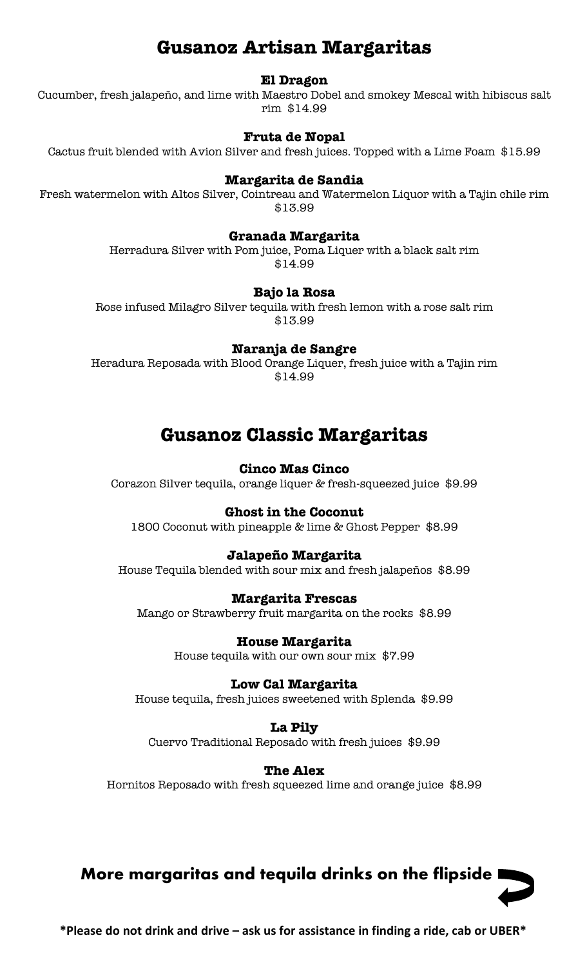# **Gusanoz Artisan Margaritas**

#### **El Dragon**

Cucumber, fresh jalapeño, and lime with Maestro Dobel and smokey Mescal with hibiscus salt rim \$14.99

#### **Fruta de Nopal**

Cactus fruit blended with Avion Silver and fresh juices. Topped with a Lime Foam \$15.99

#### **Margarita de Sandia**

Fresh watermelon with Altos Silver, Cointreau and Watermelon Liquor with a Tajin chile rim \$13.99

#### **Granada Margarita**

Herradura Silver with Pom juice, Poma Liquer with a black salt rim \$14.99

#### **Bajo la Rosa**

Rose infused Milagro Silver tequila with fresh lemon with a rose salt rim \$13.99

**Naranja de Sangre** 

Heradura Reposada with Blood Orange Liquer, fresh juice with a Tajin rim \$14.99

# **Gusanoz Classic Margaritas**

#### **Cinco Mas Cinco**

Corazon Silver tequila, orange liquer & fresh-squeezed juice \$9.99

#### **Ghost in the Coconut**

1800 Coconut with pineapple & lime & Ghost Pepper \$8.99

#### **Jalapeño Margarita**

House Tequila blended with sour mix and fresh jalapeños \$8.99

#### **Margarita Frescas**

Mango or Strawberry fruit margarita on the rocks \$8.99

**House Margarita** House tequila with our own sour mix \$7.99

**Low Cal Margarita** House tequila, fresh juices sweetened with Splenda \$9.99

**La Pily** Cuervo Traditional Reposado with fresh juices \$9.99

**The Alex** Hornitos Reposado with fresh squeezed lime and orange juice \$8.99

# **More margaritas and tequila drinks on the flipside**

**\*Please do not drink and drive – ask us for assistance in finding a ride, cab or UBER\***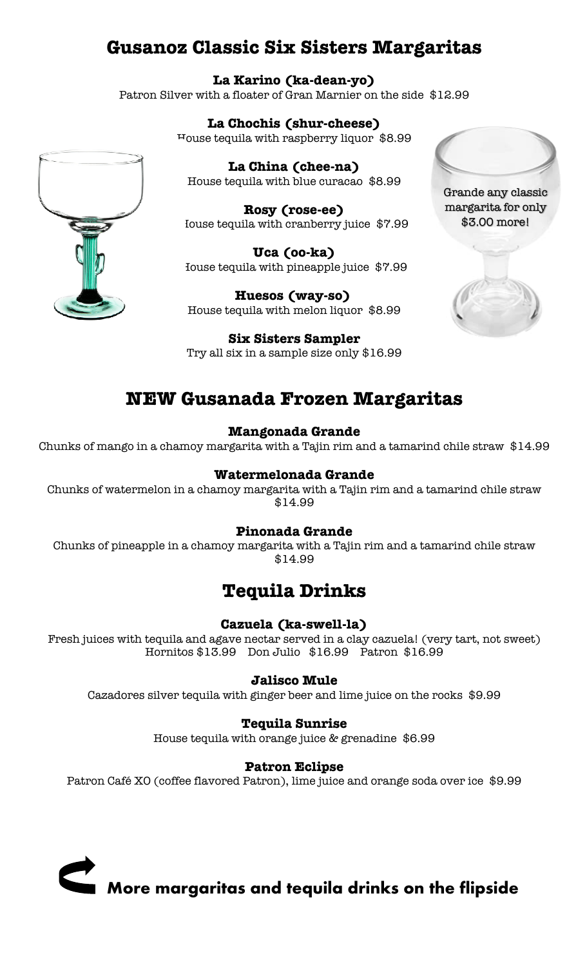# **Gusanoz Classic Six Sisters Margaritas**

**La Karino (ka-dean-yo)** Patron Silver with a floater of Gran Marnier on the side \$12.99

> **La Chochis (shur-cheese)** House tequila with raspberry liquor \$8.99

**La China (chee-na)** House tequila with blue curacao \$8.99

**Rosy (rose-ee)** Iouse tequila with cranberry juice \$7.99

**Uca (oo-ka)** House tequila with pineapple juice \$7.99

**Huesos (way-so)** House tequila with melon liquor \$8.99

**Six Sisters Sampler** Try all six in a sample size only \$16.99

# **NEW Gusanada Frozen Margaritas**

#### **Mangonada Grande**

Chunks of mango in a chamoy margarita with a Tajin rim and a tamarind chile straw \$14.99

#### **Watermelonada Grande**

Chunks of watermelon in a chamoy margarita with a Tajin rim and a tamarind chile straw \$14.99

## **Pinonada Grande**

Chunks of pineapple in a chamoy margarita with a Tajin rim and a tamarind chile straw \$14.99

# **Tequila Drinks**

## **Cazuela (ka-swell-la)**

Fresh juices with tequila and agave nectar served in a clay cazuela! (very tart, not sweet) Hornitos \$13.99 Don Julio \$16.99 Patron \$16.99

## **Jalisco Mule**

Cazadores silver tequila with ginger beer and lime juice on the rocks \$9.99

## **Tequila Sunrise**

House tequila with orange juice & grenadine \$6.99

#### **Patron Eclipse**

Patron Café XO (coffee flavored Patron), lime juice and orange soda over ice \$9.99







Grande any classic margarita for only \$3.00 more!

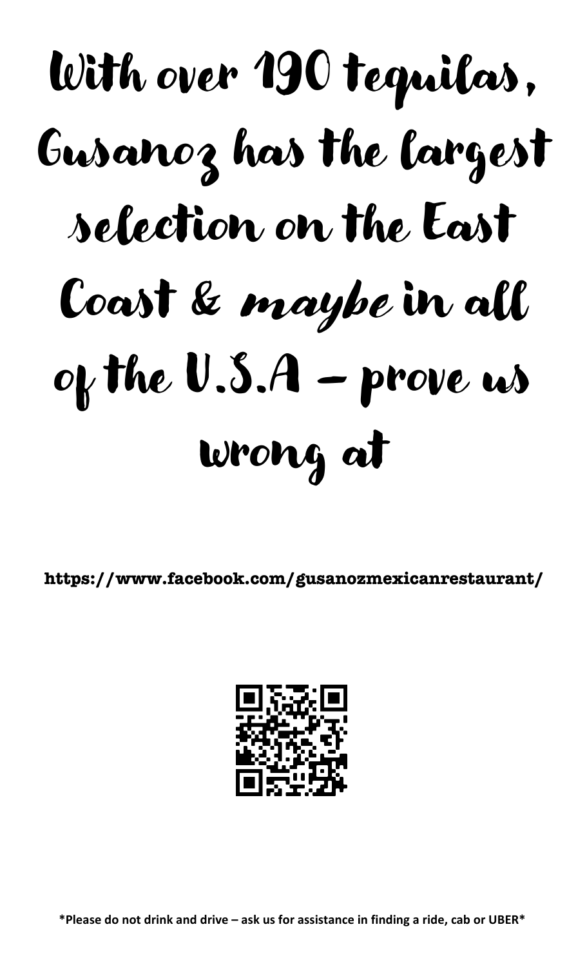# With over 190 tequilas, Gusanoz has the largest selection on the East Coast & maybe in all of the  $U.S.A$  – prove us wrong at

**https://www.facebook.com/gusanozmexicanrestaurant/**



**\*Please do not drink and drive – ask us for assistance in finding a ride, cab or UBER\***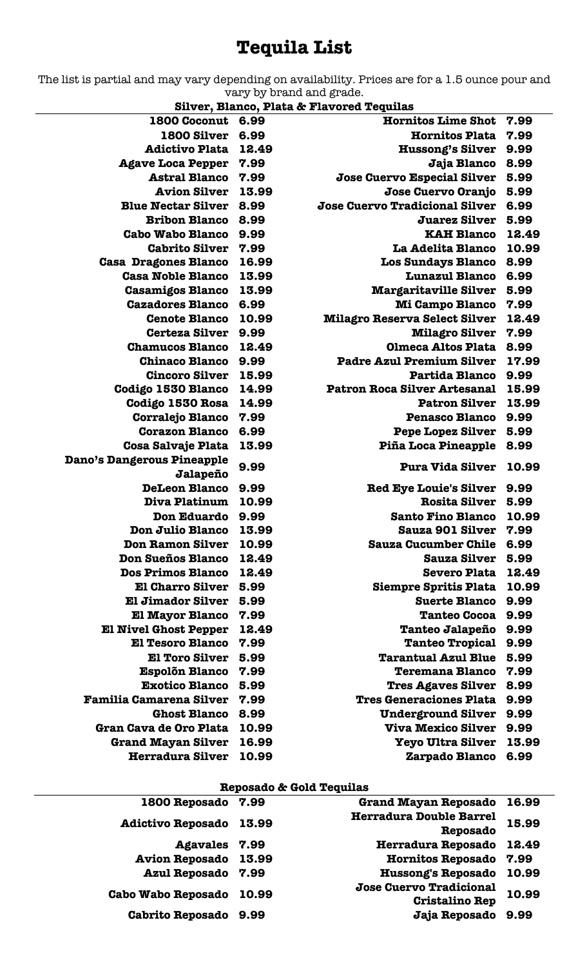# **Tequila List**

The list is partial and may vary depending on availability. Prices are for a 1.5 ounce pour and vary by brand and grade.

**Silver, Blanco, Plata & Flavored Tequilas**

| 1800 Coconut 6.99              |       | <b>Hornitos Lime Shot</b>             | 7.99  |
|--------------------------------|-------|---------------------------------------|-------|
| <b>1800 Silver</b>             | 6.99  | <b>Hornitos Plata</b>                 | 7.99  |
| <b>Adictivo Plata</b>          | 12.49 | <b>Hussong's Silver</b>               | 9.99  |
| <b>Agave Loca Pepper</b>       | 7.99  | Jaja Blanco                           | 8.99  |
| <b>Astral Blanco</b>           | 7.99  | Jose Cuervo Especial Silver           | 5.99  |
| <b>Avion Silver</b>            | 13.99 | Jose Cuervo Oranjo                    | 5.99  |
| <b>Blue Nectar Silver</b>      | 8.99  | <b>Jose Cuervo Tradicional Silver</b> | 6.99  |
| <b>Bribon Blanco</b>           | 8.99  | <b>Juarez Silver</b>                  | 5.99  |
| <b>Cabo Wabo Blanco</b>        | 9.99  | <b>KAH Blanco</b>                     | 12.49 |
| <b>Cabrito Silver</b>          | 7.99  | La Adelita Blanco                     | 10.99 |
| <b>Casa Dragones Blanco</b>    | 16.99 | <b>Los Sundays Blanco</b>             | 8.99  |
| <b>Casa Noble Blanco</b>       | 13.99 | <b>Lunazul Blanco</b>                 | 6.99  |
| <b>Casamigos Blanco</b>        | 13.99 | <b>Margaritaville Silver</b>          | 5.99  |
| <b>Cazadores Blanco</b>        | 6.99  | <b>Mi Campo Blanco</b>                | 7.99  |
| <b>Cenote Blanco</b>           | 10.99 | <b>Milagro Reserva Select Silver</b>  | 12.49 |
| <b>Certeza Silver</b>          | 9.99  | <b>Milagro Silver</b>                 | 7.99  |
| <b>Chamucos Blanco</b>         | 12.49 | <b>Olmeca Altos Plata</b>             | 8.99  |
| <b>Chinaco Blanco</b>          | 9.99  | <b>Padre Azul Premium Silver</b>      | 17.99 |
| <b>Cincoro Silver</b>          | 15.99 | Partida Blanco                        | 9.99  |
| Codigo 1530 Blanco             | 14.99 | <b>Patron Roca Silver Artesanal</b>   | 15.99 |
| Codigo 1530 Rosa               | 14.99 | <b>Patron Silver</b>                  | 13.99 |
| <b>Corralejo Blanco</b>        | 7.99  | <b>Penasco Blanco</b>                 | 9.99  |
| <b>Corazon Blanco</b>          | 6.99  | <b>Pepe Lopez Silver</b>              | 5.99  |
| <b>Cosa Salvaje Plata</b>      | 13.99 | Piña Loca Pineapple                   | 8.99  |
| Dano's Dangerous Pineapple     | 9.99  | <b>Pura Vida Silver</b>               | 10.99 |
| Jalapeño                       |       |                                       |       |
| <b>DeLeon Blanco</b>           | 9.99  | <b>Red Eye Louie's Silver</b>         | 9.99  |
| Diva Platinum                  | 10.99 | <b>Rosita Silver</b>                  | 5.99  |
| <b>Don Eduardo</b>             | 9.99  | <b>Santo Fino Blanco</b>              | 10.99 |
| <b>Don Julio Blanco</b>        | 13.99 | Sauza 901 Silver                      | 7.99  |
| <b>Don Ramon Silver</b>        | 10.99 | <b>Sauza Cucumber Chile</b>           | 6.99  |
| <b>Don Sueños Blanco</b>       | 12.49 | <b>Sauza Silver</b>                   | 5.99  |
| <b>Dos Primos Blanco</b>       | 12.49 | <b>Severo Plata</b>                   | 12.49 |
| <b>El Charro Silver</b>        | 5.99  | <b>Siempre Spritis Plata</b>          | 10.99 |
| <b>El Jimador Silver</b>       | 5.99  | <b>Suerte Blanco</b>                  | 9.99  |
| <b>El Mayor Blanco</b>         | 7.99  | <b>Tanteo Cocoa</b>                   | 9.99  |
| <b>El Nivel Ghost Pepper</b>   | 12.49 | Tanteo Jalapeño                       | 9.99  |
| <b>El Tesoro Blanco</b>        | 7.99  | <b>Tanteo Tropical</b>                | 9.99  |
| <b>El Toro Silver</b>          | 5.99  | <b>Tarantual Azul Blue</b>            | 5.99  |
| <b>Espolõn Blanco</b>          | 7.99  | <b>Teremana Blanco</b>                | 7.99  |
| <b>Exotico Blanco</b>          | 5.99  | <b>Tres Agaves Silver</b>             | 8.99  |
| <b>Familia Camarena Silver</b> | 7.99  | <b>Tres Generaciones Plata</b>        | 9.99  |
| <b>Ghost Blanco</b>            | 8.99  | <b>Underground Silver</b>             | 9.99  |
| Gran Cava de Oro Plata         | 10.99 | <b>Viva Mexico Silver</b>             | 9.99  |
| <b>Grand Mayan Silver</b>      | 16.99 | <b>Yeyo Ultra Silver</b>              | 13.99 |
| <b>Herradura Silver</b>        | 10.99 | Zarpado Blanco                        | 6.99  |

#### **Reposado & Gold Tequilas**

| 1800 Reposado 7.99        |       | <b>Grand Mayan Reposado</b>                      | 16.99 |
|---------------------------|-------|--------------------------------------------------|-------|
| <b>Adictivo Reposado</b>  | 13.99 | <b>Herradura Double Barrel</b><br>Reposado       | 15.99 |
| Agavales 7.99             |       | <b>Herradura Reposado</b>                        | 12.49 |
| Avion Reposado 13.99      |       | Hornitos Reposado 7.99                           |       |
| <b>Azul Reposado</b>      | 7.99  | <b>Hussong's Reposado</b>                        | 10.99 |
| <b>Cabo Wabo Reposado</b> | 10.99 | Jose Cuervo Tradicional<br><b>Cristalino Rep</b> | 10.99 |
| <b>Cabrito Reposado</b>   | 9.99  | Jaja Reposado                                    | 9.99  |
|                           |       |                                                  |       |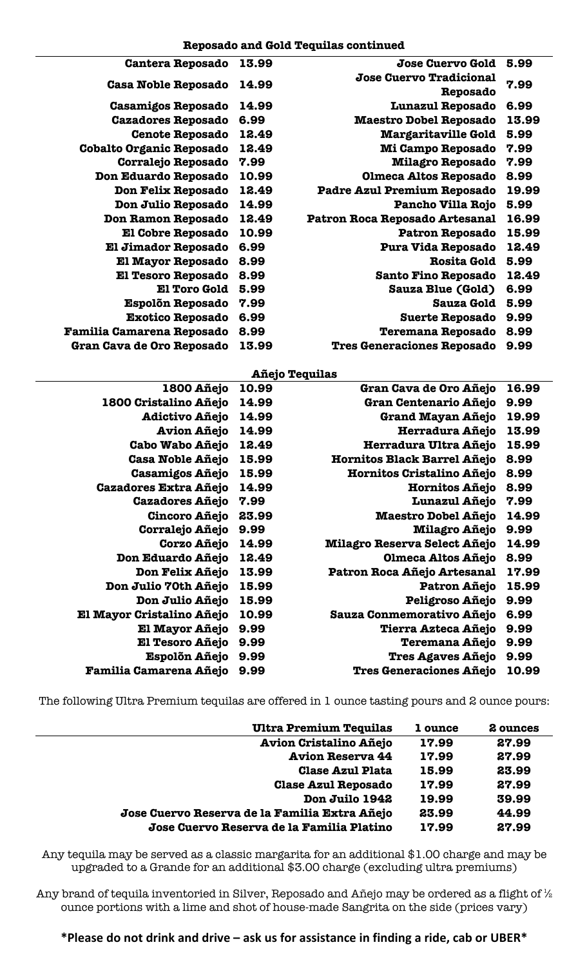| 5.99  | Jose Cuervo Gold                  | 13.99 | <b>Cantera Reposado</b>          |
|-------|-----------------------------------|-------|----------------------------------|
| 7.99  | Jose Cuervo Tradicional           |       |                                  |
|       | Reposado                          | 14.99 | <b>Casa Noble Reposado</b>       |
| 6.99  | <b>Lunazul Reposado</b>           | 14.99 | <b>Casamigos Reposado</b>        |
| 13.99 | <b>Maestro Dobel Reposado</b>     | 6.99  | <b>Cazadores Reposado</b>        |
| 5.99  | <b>Margaritaville Gold</b>        | 12.49 | <b>Cenote Reposado</b>           |
| 7.99  | Mi Campo Reposado                 | 12.49 | <b>Cobalto Organic Reposado</b>  |
| 7.99  | <b>Milagro Reposado</b>           | 7.99  | Corralejo Reposado               |
| 8.99  | <b>Olmeca Altos Reposado</b>      | 10.99 | Don Eduardo Reposado             |
| 19.99 | Padre Azul Premium Reposado       | 12.49 | Don Felix Reposado               |
| 5.99  | Pancho Villa Rojo                 | 14.99 | Don Julio Reposado               |
| 16.99 | Patron Roca Reposado Artesanal    | 12.49 | Don Ramon Reposado               |
| 15.99 | <b>Patron Reposado</b>            | 10.99 | <b>El Cobre Reposado</b>         |
| 12.49 | Pura Vida Reposado                | 6.99  | <b>El Jimador Reposado</b>       |
| 5.99  | <b>Rosita Gold</b>                | 8.99  | <b>El Mayor Reposado</b>         |
| 12.49 | <b>Santo Fino Reposado</b>        | 8.99  | <b>El Tesoro Reposado</b>        |
| 6.99  | <b>Sauza Blue (Gold)</b>          | 5.99  | <b>El Toro Gold</b>              |
| 5.99  | <b>Sauza Gold</b>                 | 7.99  | <b>Espolõn Reposado</b>          |
| 9.99  | <b>Suerte Reposado</b>            | 6.99  | <b>Exotico Reposado</b>          |
| 8.99  | <b>Teremana Reposado</b>          | 8.99  | <b>Familia Camarena Reposado</b> |
| 9.99  | <b>Tres Generaciones Reposado</b> | 13.99 | Gran Cava de Oro Reposado        |

#### **Añejo Tequilas**

| 1800 Añejo                    | 10.99 | Gran Cava de Oro Añejo         | 16.99 |
|-------------------------------|-------|--------------------------------|-------|
| 1800 Cristalino Añejo         | 14.99 | Gran Centenario Añejo          | 9.99  |
| <b>Adictivo Añejo</b>         | 14.99 | Grand Mayan Añejo              | 19.99 |
| <b>Avion Añejo</b>            | 14.99 | Herradura Añejo                | 13.99 |
| <b>Cabo Wabo Añejo</b>        | 12.49 | Herradura Ultra Añejo          | 15.99 |
| <b>Casa Noble Añejo</b>       | 15.99 | Hornitos Black Barrel Añejo    | 8.99  |
| <b>Casamigos Añejo</b>        | 15.99 | Hornitos Cristalino Añejo      | 8.99  |
| <b>Cazadores Extra Añejo</b>  | 14.99 | Hornitos Añejo                 | 8.99  |
| <b>Cazadores Añejo</b>        | 7.99  | <b>Lunazul Añejo</b>           | 7.99  |
| <b>Cincoro Añejo</b>          | 23.99 | <b>Maestro Dobel Añejo</b>     | 14.99 |
| Corralejo Añejo               | 9.99  | <b>Milagro Añejo</b>           | 9.99  |
| Corzo Añejo                   | 14.99 | Milagro Reserva Select Añejo   | 14.99 |
| Don Eduardo Añejo             | 12.49 | <b>Olmeca Altos Añejo</b>      | 8.99  |
| Don Felix Añejo               | 13.99 | Patron Roca Añejo Artesanal    | 17.99 |
| Don Julio 70th Añejo          | 15.99 | Patron Añejo                   | 15.99 |
| Don Julio Añejo               | 15.99 | Peligroso Añejo                | 9.99  |
| El Mayor Cristalino Añejo     | 10.99 | Sauza Conmemorativo Añejo      | 6.99  |
| El Mayor Añejo                | 9.99  | Tierra Azteca Añejo            | 9.99  |
| El Tesoro Añejo               | 9.99  | Teremana Añejo                 | 9.99  |
| <b>Espolõn Añejo</b>          | 9.99  | <b>Tres Agaves Añejo</b>       | 9.99  |
| <b>Familia Camarena Añejo</b> | 9.99  | <b>Tres Generaciones Añejo</b> | 10.99 |

The following Ultra Premium tequilas are offered in 1 ounce tasting pours and 2 ounce pours:

| <b>Ultra Premium Tequilas</b>                 | 1 ounce | 2 ounces |
|-----------------------------------------------|---------|----------|
| <b>Avion Cristalino Añejo</b>                 | 17.99   | 27.99    |
| <b>Avion Reserva 44</b>                       | 17.99   | 27.99    |
| <b>Clase Azul Plata</b>                       | 15.99   | 23.99    |
| <b>Clase Azul Reposado</b>                    | 17.99   | 27.99    |
| Don Juilo 1942                                | 19.99   | 39.99    |
| Jose Cuervo Reserva de la Familia Extra Añejo | 23.99   | 44.99    |
| Jose Cuervo Reserva de la Familia Platino     | 17.99   | 27.99    |

Any tequila may be served as a classic margarita for an additional \$1.00 charge and may be upgraded to a Grande for an additional \$3.00 charge (excluding ultra premiums)

Any brand of tequila inventoried in Silver, Reposado and Añejo may be ordered as a flight of  $\frac{1}{2}$ ounce portions with a lime and shot of house-made Sangrita on the side (prices vary)

**\*Please do not drink and drive – ask us for assistance in finding a ride, cab or UBER\***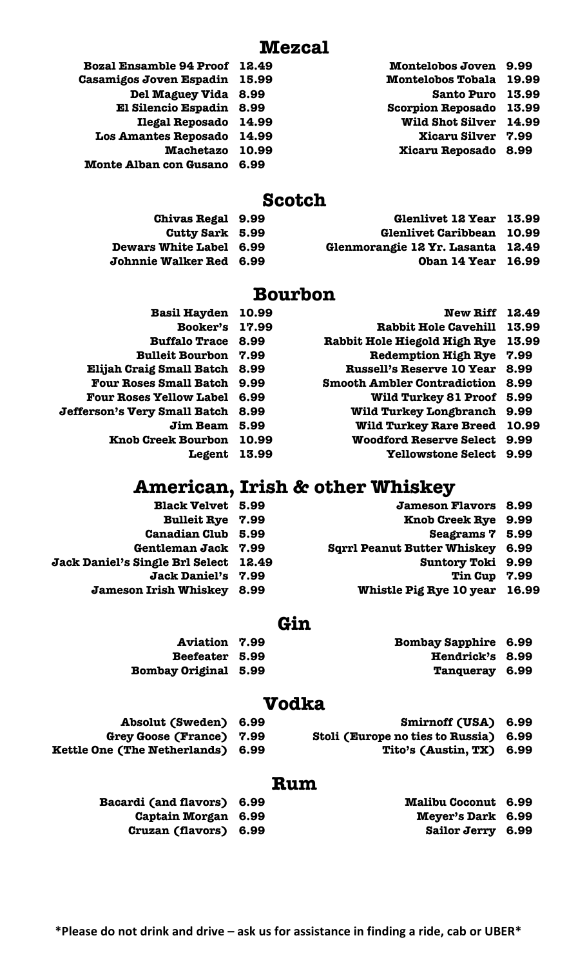| Bozal Ensamble 94 Proof 12.49 | Montelobos Joven 9.99          |  |
|-------------------------------|--------------------------------|--|
| Casamigos Joven Espadin 15.99 | <b>Montelobos Tobala 19.99</b> |  |
| Del Maguey Vida 8.99          | Santo Puro 13.99               |  |
| El Silencio Espadin 8.99      | Scorpion Reposado 13.99        |  |
| Ilegal Reposado 14.99         | Wild Shot Silver 14.99         |  |
| Los Amantes Reposado 14.99    | <b>Xicaru Silver 7.99</b>      |  |
| Machetazo 10.99               | Xicaru Reposado 8.99           |  |
| Monte Alban con Gusano 6.99   |                                |  |
|                               |                                |  |

## **Scotch**

**Chivas Regal 9.99 Glenlivet 12 Year 13.99 Cutty Sark 5.99 Glenlivet Caribbean 10.99 Dewars White Label 6.99 Glenmorangie 12 Yr. Lasanta 12.49 Johnnie Walker Red 6.99 Oban 14 Year 16.99**

# **Bourbon**

- **Basil Hayden 10.99 New Riff 12.49 Booker's 17.99 Rabbit Hole Cavehill 13.99 Buffalo Trace 8.99 Rabbit Hole Hiegold High Rye 13.99 Bulleit Bourbon 7.99 Redemption High Rye 7.99 Elijah Craig Small Batch 8.99 Russell's Reserve 10 Year 8.99 Four Roses Small Batch 9.99 Smooth Ambler Contradiction 8.99 Four Roses Yellow Label 6.99 Wild Turkey 81 Proof 5.99 Jefferson's Very Small Batch 8.99 Wild Turkey Longbranch 9.99 Jim Beam 5.99 Wild Turkey Rare Breed 10.99 Knob Creek Bourbon 10.99 Woodford Reserve Select 9.99**
	- **Legent 13.99 Yellowstone Select 9.99**
	- - -

# **American, Irish & other Whiskey**

**Black Velvet 5.99 Jameson Flavors 8.99 Bulleit Rye 7.99 Knob Creek Rye 9.99 Canadian Club 5.99 Seagrams 7 5.99 Gentleman Jack 7.99 Sqrrl Peanut Butter Whiskey 6.99 Jack Daniel's Single Brl Select 12.49 Suntory Toki 9.99 Jack Daniel's 7.99 Tin Cup 7.99 Jameson Irish Whiskey 8.99 Whistle Pig Rye 10 year 16.99**

## **Gin**

- **Aviation 7.99 Bombay Sapphire 6.99 Beefeater 5.99 Hendrick's 8.99 Bombay Original 5.99 Tanqueray 6.99**
- 

# **Vodka**

- **Absolut (Sweden) 6.99 Smirnoff (USA) 6.99**
- **Grey Goose (France) 7.99 Stoli (Europe no ties to Russia) 6.99**
	-
- 
- **Kettle One (The Netherlands) 6.99 Tito's (Austin, TX) 6.99**

## **Rum**

**Bacardi (and flavors) 6.99 Malibu Coconut 6.99 Captain Morgan 6.99 Meyer's Dark 6.99 Cruzan (flavors) 6.99 Sailor Jerry 6.99**

- 
- - -
-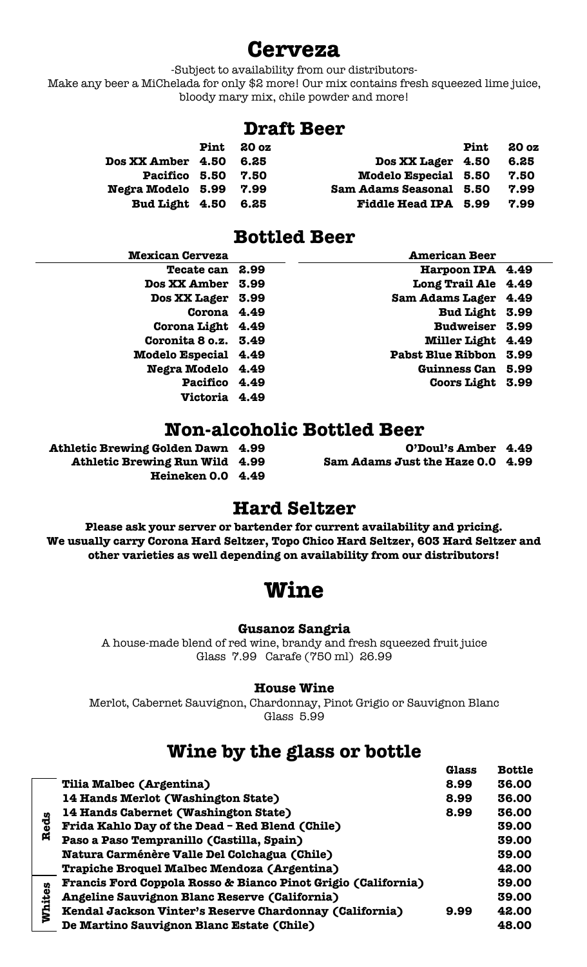# **Cerveza**

-Subject to availability from our distributors-

Make any beer a MiChelada for only \$2 more! Our mix contains fresh squeezed lime juice, bloody mary mix, chile powder and more!

## **Draft Beer**

|                        | <b>Pint</b> | 20 <sub>oz</sub> |                             | Pint | 20 <sub>0</sub> |
|------------------------|-------------|------------------|-----------------------------|------|-----------------|
| Dos XX Amber 4.50      |             | 6.25             | Dos XX Lager 4.50           |      | 6.25            |
| Pacifico 5.50          |             | 7.50             | <b>Modelo Especial 5.50</b> |      | 7.50            |
| Negra Modelo 5.99 7.99 |             |                  | Sam Adams Seasonal 5.50     |      | 7.99            |
| Bud Light 4.50         |             | 6.25             | Fiddle Head IPA 5.99        |      | 7.99            |

# **Bottled Beer**

| <b>Mexican Cerveza</b>      |      | <b>American Beer</b>     |      |
|-----------------------------|------|--------------------------|------|
| <b>Tecate can</b>           | 2.99 | Harpoon IPA 4.49         |      |
| <b>Dos XX Amber</b>         | 3.99 | <b>Long Trail Ale</b>    | 4.49 |
| <b>Dos XX Lager</b>         | 3.99 | <b>Sam Adams Lager</b>   | 4.49 |
| Corona 4.49                 |      | Bud Light 3.99           |      |
| Corona Light 4.49           |      | <b>Budweiser</b>         | 3.99 |
| Coronita 8 o.z. 3.49        |      | <b>Miller Light</b>      | 4.49 |
| <b>Modelo Especial 4.49</b> |      | <b>Pabst Blue Ribbon</b> | 3.99 |
| Negra Modelo 4.49           |      | <b>Guinness Can</b>      | 5.99 |
| Pacifico 4.49               |      | <b>Coors Light</b>       | 3.99 |
| Victoria 4.49               |      |                          |      |
|                             |      |                          |      |

# **Non-alcoholic Bottled Beer**

| O'Doul's Amber 4.49              |  |
|----------------------------------|--|
| Sam Adams Just the Haze 0.0 4.99 |  |

- **Athletic Brewing Golden Dawn 4.99** 
	- **Athletic Brewing Run Wild 4.99**

## **Heineken 0.0 4.49**

## **Hard Seltzer**

**Please ask your server or bartender for current availability and pricing. We usually carry Corona Hard Seltzer, Topo Chico Hard Seltzer, 603 Hard Seltzer and other varieties as well depending on availability from our distributors!**

# **Wine**

#### **Gusanoz Sangria**

A house-made blend of red wine, brandy and fresh squeezed fruit juice Glass 7.99 Carafe (750 ml) 26.99

#### **House Wine**

Merlot, Cabernet Sauvignon, Chardonnay, Pinot Grigio or Sauvignon Blanc Glass 5.99

# **Wine by the glass or bottle**

|        |                                                               | Glass | <b>Bottle</b> |
|--------|---------------------------------------------------------------|-------|---------------|
|        | Tilia Malbec (Argentina)                                      | 8.99  | 36.00         |
|        | 14 Hands Merlot (Washington State)                            | 8.99  | 36.00         |
|        | 14 Hands Cabernet (Washington State)                          | 8.99  | 36.00         |
| Reds   | Frida Kahlo Day of the Dead - Red Blend (Chile)               |       | 39.00         |
|        | Paso a Paso Tempranillo (Castilla, Spain)                     |       | 39.00         |
|        | Natura Carménère Valle Del Colchagua (Chile)                  |       | 39.00         |
|        | Trapiche Broquel Malbec Mendoza (Argentina)                   |       | 42.00         |
|        | Francis Ford Coppola Rosso & Bianco Pinot Grigio (California) |       | 39.00         |
|        | Angeline Sauvignon Blanc Reserve (California)                 |       | 39.00         |
| Whites | Kendal Jackson Vinter's Reserve Chardonnay (California)       | 9.99  | 42.00         |
|        | De Martino Sauvignon Blanc Estate (Chile)                     |       | 48.00         |